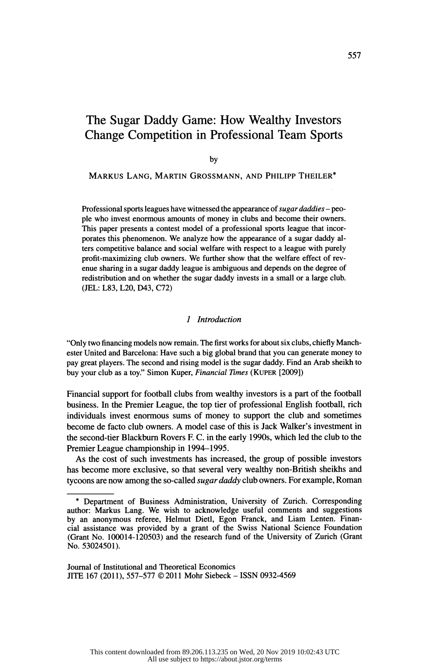# The Sugar Daddy Game: How Wealthy Investors Change Competition in Professional Team Sports

by

Markus Lang, Martin Grossmann, and Philipp Theiler\*

Professional sports leagues have witnessed the appearance of sugar daddies – peo ple who invest enormous amounts of money in clubs and become their owners. This paper presents a contest model of a professional sports league that incor porates this phenomenon. We analyze how the appearance of a sugar daddy al ters competitive balance and social welfare with respect to a league with purely profit-maximizing club owners. We further show that the welfare effect of rev enue sharing in a sugar daddy league is ambiguous and depends on the degree of redistribution and on whether the sugar daddy invests in a small or a large club. (JEL: L83, L20, D43, C72)

### 1 Introduction

 "Only two financing models now remain. The first works for about six clubs, chiefly Manch ester United and Barcelona: Have such a big global brand that you can generate money to pay great players. The second and rising model is the sugar daddy. Find an Arab sheikh to buy your club as a toy." Simon Kuper, Financial Times (KUPER [2009])

 Financial support for football clubs from wealthy investors is a part of the football business. In the Premier League, the top tier of professional English football, rich individuals invest enormous sums of money to support the club and sometimes become de facto club owners. A model case of this is Jack Walker's investment in the second-tier Blackburn Rovers F. C. in the early 1990s, which led the club to the Premier League championship in 1994-1995.

 As the cost of such investments has increased, the group of possible investors has become more exclusive, so that several very wealthy non-British sheikhs and tycoons are now among the so-called *sugar daddy* club owners. For example, Roman

 <sup>\*</sup> Department of Business Administration, University of Zurich. Corresponding author: Markus Lang. We wish to acknowledge useful comments and suggestions by an anonymous referee, Helmut Dietl, Egon Franck, and Liam Lenten. Finan cial assistance was provided by a grant of the Swiss National Science Foundation (Grant No. 100014-120503) and the research fund of the University of Zurich (Grant No. 53024501).

Journal of Institutional and Theoretical Economics JITE 167 (2011), 557-577 ©2011 Mohr Siebeck - ISSN 0932-4569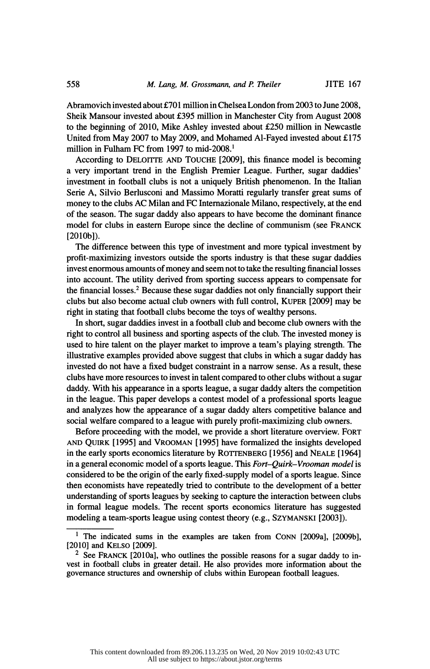Abramovich invested about £701 million in Chelsea London from 2003 to June 2008, Sheik Mansour invested about £395 million in Manchester City from August 2008 to the beginning of 2010, Mike Ashley invested about £250 million in Newcastle United from May 2007 to May 2009, and Mohamed Al-Fayed invested about £175 million in Fulham FC from 1997 to mid-2008.<sup>1</sup>

According to DELOITTE AND TOUCHE [2009], this finance model is becoming a very important trend in the English Premier League. Further, sugar daddies' investment in football clubs is not a uniquely British phenomenon. In the Italian Serie A, Silvio Berlusconi and Massimo Moratti regularly transfer great sums of money to the clubs AC Milan and FC Internazionale Milano, respectively, at the end of the season. The sugar daddy also appears to have become the dominant finance model for clubs in eastern Europe since the decline of communism (see Franck [2010b]).

 The difference between this type of investment and more typical investment by profit-maximizing investors outside the sports industry is that these sugar daddies invest enormous amounts of money and seem not to take the resulting financial losses into account. The utility derived from sporting success appears to compensate for the financial losses.<sup>2</sup> Because these sugar daddies not only financially support their clubs but also become actual club owners with full control, KUPER [2009] may be right in stating that football clubs become the toys of wealthy persons.

 In short, sugar daddies invest in a football club and become club owners with the right to control all business and sporting aspects of the club. The invested money is used to hire talent on the player market to improve a team's playing strength. The illustrative examples provided above suggest that clubs in which a sugar daddy has invested do not have a fixed budget constraint in a narrow sense. As a result, these clubs have more resources to invest in talent compared to other clubs without a sugar daddy. With his appearance in a sports league, a sugar daddy alters the competition in the league. This paper develops a contest model of a professional sports league and analyzes how the appearance of a sugar daddy alters competitive balance and social welfare compared to a league with purely profit-maximizing club owners.

 Before proceeding with the model, we provide a short literature overview. Fort and Quirk [1995] and Vrooman [1995] have formalized the insights developed in the early sports economics literature by ROTTENBERG [1956] and NEALE [1964] in a general economic model of a sports league. This Fort-Quirk-Vrooman model is considered to be the origin of the early fixed-supply model of a sports league. Since then economists have repeatedly tried to contribute to the development of a better understanding of sports leagues by seeking to capture the interaction between clubs in formal league models. The recent sports economics literature has suggested modeling a team-sports league using contest theory (e.g., Szymanski [2003]).

<sup>&</sup>lt;sup>1</sup> The indicated sums in the examples are taken from CONN [2009a], [2009b], [2010] and Kelso [2009].

 $2$  See FRANCK [2010a], who outlines the possible reasons for a sugar daddy to in vest in football clubs in greater detail. He also provides more information about the governance structures and ownership of clubs within European football leagues.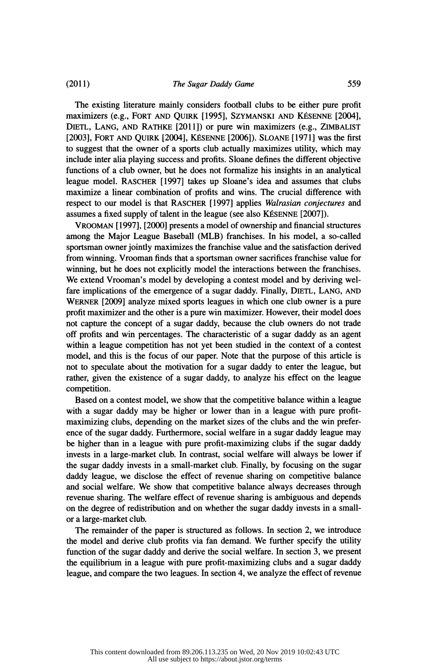The existing literature mainly considers football clubs to be either pure profit maximizers (e.g., Fort and Quirk [1995], Szymanski and Késenne [2004], DIETL, LANG, AND RATHKE [2011]) or pure win maximizers (e.g., ZIMBALIST [2003], FORT AND OUIRK [2004], KÉSENNE [2006]), SLOANE [1971] was the first to suggest that the owner of a sports club actually maximizes utility, which may include inter alia playing success and profits. Sloane defines the different objective functions of a club owner, but he does not formalize his insights in an analytical league model. RASCHER [1997] takes up Sloane's idea and assumes that clubs maximize a linear combination of profits and wins. The crucial difference with respect to our model is that RASCHER [1997] applies Walrasian conjectures and assumes a fixed supply of talent in the league (see also Késenne [2007]).

 Vrooman [1997], [2000] presents a model of ownership and financial structures among the Major League Baseball (MLB) franchises. In his model, a so-called sportsman owner jointly maximizes the franchise value and the satisfaction derived from winning. Vrooman finds that a sportsman owner sacrifices franchise value for winning, but he does not explicitly model the interactions between the franchises. We extend Vrooman's model by developing a contest model and by deriving wel fare implications of the emergence of a sugar daddy. Finally, DIETL, LANG, AND WERNER [2009] analyze mixed sports leagues in which one club owner is a pure profit maximizer and the other is a pure win maximizer. However, their model does not capture the concept of a sugar daddy, because the club owners do not trade off profits and win percentages. The characteristic of a sugar daddy as an agent within a league competition has not yet been studied in the context of a contest model, and this is the focus of our paper. Note that the purpose of this article is not to speculate about the motivation for a sugar daddy to enter the league, but rather, given the existence of a sugar daddy, to analyze his effect on the league competition.

 Based on a contest model, we show that the competitive balance within a league with a sugar daddy may be higher or lower than in a league with pure profit maximizing clubs, depending on the market sizes of the clubs and the win prefer ence of the sugar daddy. Furthermore, social welfare in a sugar daddy league may be higher than in a league with pure profit-maximizing clubs if the sugar daddy invests in a large-market club. In contrast, social welfare will always be lower if the sugar daddy invests in a small-market club. Finally, by focusing on the sugar daddy league, we disclose the effect of revenue sharing on competitive balance and social welfare. We show that competitive balance always decreases through revenue sharing. The welfare effect of revenue sharing is ambiguous and depends on the degree of redistribution and on whether the sugar daddy invests in a small or a large-market club.

 The remainder of the paper is structured as follows. In section 2, we introduce the model and derive club profits via fan demand. We further specify the utility function of the sugar daddy and derive the social welfare. In section 3, we present the equilibrium in a league with pure profit-maximizing clubs and a sugar daddy league, and compare the two leagues. In section 4, we analyze the effect of revenue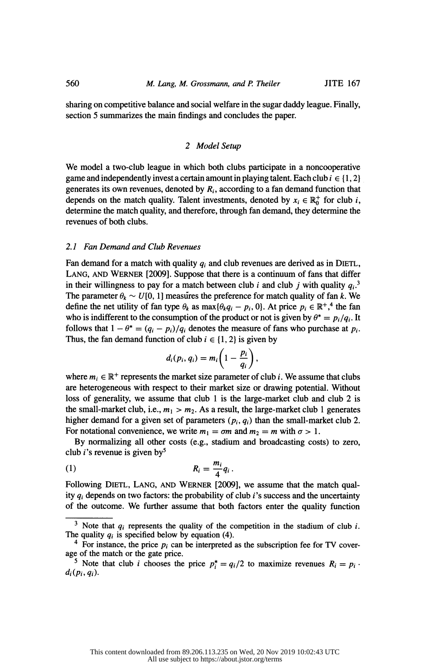sharing on competitive balance and social welfare in the sugar daddy league. Finally, section 5 summarizes the main findings and concludes the paper.

# 2 Model Setup

 We model a two-club league in which both clubs participate in a noncooperative game and independently invest a certain amount in playing talent. Each club  $i \in \{1, 2\}$ generates its own revenues, denoted by  $R_i$ , according to a fan demand function that depends on the match quality. Talent investments, denoted by  $x_i \in \mathbb{R}^+_0$  for club i, determine the match quality, and therefore, through fan demand, they determine the revenues of both clubs.

## 2.1 Fan Demand and Club Revenues

Fan demand for a match with quality  $q_i$  and club revenues are derived as in DIETL. Lang, and Werner [2009]. Suppose that there is a continuum of fans that differ in their willingness to pay for a match between club i and club j with quality  $q_i$ <sup>3</sup> The parameter  $\theta_k \sim U[0, 1]$  measures the preference for match quality of fan k. We define the net utility of fan type  $\theta_k$  as max $\{\theta_k q_i - p_i, 0\}$ . At price  $p_i \in \mathbb{R}^+$ ,<sup>4</sup> the fan who is indifferent to the consumption of the product or not is given by  $\theta^* = p_i/q_i$ . It follows that  $1 - \theta^* = (q_i - p_i)/q_i$  denotes the measure of fans who purchase at  $p_i$ . Thus, the fan demand function of club  $i \in \{1, 2\}$  is given by

$$
d_i(p_i,q_i)=m_i\bigg(1-\frac{p_i}{q_i}\bigg)\,,
$$

where  $m_i \in \mathbb{R}^+$  represents the market size parameter of club *i*. We assume that clubs are heterogeneous with respect to their market size or drawing potential. Without loss of generality, we assume that club 1 is the large-market club and club 2 is the small-market club, i.e.,  $m_1 > m_2$ . As a result, the large-market club 1 generates higher demand for a given set of parameters  $(p_i, q_i)$  than the small-market club 2. For notational convenience, we write  $m_1 = \sigma m$  and  $m_2 = m$  with  $\sigma > 1$ .

 By normalizing all other costs (e.g., stadium and broadcasting costs) to zero, club *i*'s revenue is given by<sup>5</sup>

(1) 
$$
R_i = \frac{m_i}{4}q_i.
$$

Following DIETL, LANG, AND WERNER [2009], we assume that the match quality  $q_i$  depends on two factors: the probability of club i's success and the uncertainty of the outcome. We further assume that both factors enter the quality function

<sup>&</sup>lt;sup>3</sup> Note that  $q_i$  represents the quality of the competition in the stadium of club i. The quality  $q_i$  is specified below by equation (4).

<sup>&</sup>lt;sup>4</sup> For instance, the price  $p_i$  can be interpreted as the subscription fee for TV coverage of the match or the gate price.

<sup>&</sup>lt;sup>5</sup> Note that club *i* chooses the price  $p_i^* = q_i/2$  to maximize revenues  $R_i = p_i$ .  $d_i(p_i,q_i)$ .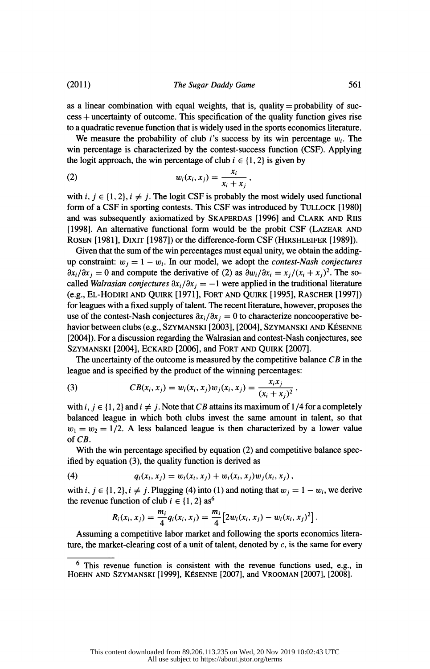as a linear combination with equal weights, that is, quality  $=$  probability of suc cess 4- uncertainty of outcome. This specification of the quality function gives rise to a quadratic revenue function that is widely used in the sports economics literature.

We measure the probability of club *i*'s success by its win percentage  $w_i$ . The win percentage is characterized by the contest-success function (CSF). Applying the logit approach, the win percentage of club  $i \in \{1, 2\}$  is given by

$$
(2) \t\t\t w_i(x_i,x_j)=\frac{x_i}{x_i+x_j}\,,
$$

with  $i, j \in \{1, 2\}, i \neq j$ . The logit CSF is probably the most widely used functional form of a CSF in sporting contests. This CSF was introduced by TULLOCK [1980] and was subsequently axiomatized by SKAPERDAS [1996] and CLARK AND RIIS [1998]. An alternative functional form would be the probit CSF (LAZEAR AND ROSEN [1981], DIXIT [1987]) or the difference-form CSF (HIRSHLEIFER [1989]).

 Given that the sum of the win percentages must equal unity, we obtain the adding up constraint:  $w_i = 1 - w_i$ . In our model, we adopt the *contest-Nash conjectures*  $\partial x_i/\partial x_j = 0$  and compute the derivative of (2) as  $\partial w_i/\partial x_i = x_j/(x_i + x_j)^2$ . The socalled *Walrasian conjectures*  $\partial x_i / \partial x_j = -1$  were applied in the traditional literature (e.g., El-Hodiri and Quirk [1971], Fort and Quirk [1995], Rascher [1997]) for leagues with a fixed supply of talent. The recent literature, however, proposes the use of the contest-Nash conjectures  $\partial x_i/\partial x_j = 0$  to characterize noncooperative be havior between clubs (e.g., Szymanski [2003], [2004], Szymanski and Késenne [2004]). For a discussion regarding the Walrasian and contest-Nash conjectures, see Szymanski [2004], Eckard [2006], and Fort and Quirk [2007].

The uncertainty of the outcome is measured by the competitive balance  $CB$  in the league and is specified by the product of the winning percentages:

(3) 
$$
CB(x_i, x_j) = w_i(x_i, x_j)w_j(x_i, x_j) = \frac{x_ix_j}{(x_i + x_j)^2},
$$

with i,  $j \in \{1,2\}$  and  $i \neq j$ . Note that CB attains its maximum of 1/4 for a completely balanced league in which both clubs invest the same amount in talent, so that  $w_1 = w_2 = 1/2$ . A less balanced league is then characterized by a lower value of CB.

 With the win percentage specified by equation (2) and competitive balance spec ified by equation (3), the quality function is derived as

(4) 
$$
q_i(x_i, x_j) = w_i(x_i, x_j) + w_i(x_i, x_j) w_j(x_i, x_j),
$$

with i,  $j \in \{1, 2\}, i \neq j$ . Plugging (4) into (1) and noting that  $w_i = 1 - w_i$ , we derive the revenue function of club  $i \in \{1, 2\}$  as<sup>6</sup>

$$
R_i(x_i, x_j) = \frac{m_i}{4} q_i(x_i, x_j) = \frac{m_i}{4} [2w_i(x_i, x_j) - w_i(x_i, x_j)^2].
$$

 Assuming a competitive labor market and following the sports economics litera ture, the market-clearing cost of a unit of talent, denoted by  $c$ , is the same for every

 $6$  This revenue function is consistent with the revenue functions used, e.g., in Hoehn and Szymanski [1999], Késenne [2007], and Vrooman [2007], [2008].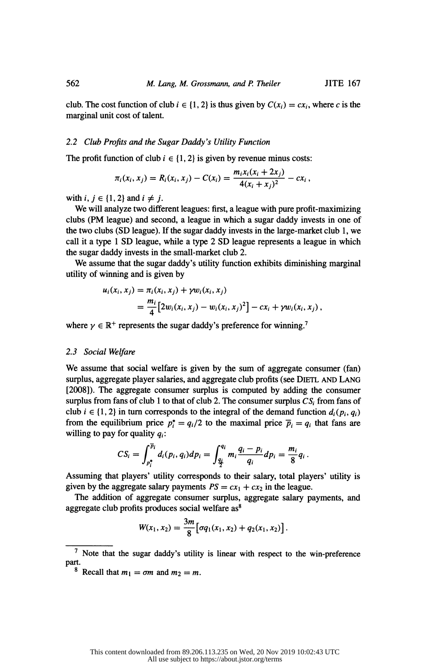club. The cost function of club  $i \in \{1, 2\}$  is thus given by  $C(x_i) = cx_i$ , where c is the marginal unit cost of talent.

#### 2.2 Club Profits and the Sugar Daddy's Utility Function

The profit function of club  $i \in \{1, 2\}$  is given by revenue minus costs:

$$
\pi_i(x_i, x_j) = R_i(x_i, x_j) - C(x_i) = \frac{m_i x_i (x_i + 2x_j)}{4(x_i + x_j)^2} - cx_i,
$$
  
with  $i, j \in \{1, 2\}$  and  $i \neq j$ .  
We will analyze two different leaders: first, a league with pure profit-maximizing

th *i*,  $j \in \{1, 2\}$  and  $i \neq j$ .<br>We will analyze two different leagues: first, a league with pure profit-maximizing<br>ths (PM league) and second a league in which a sugar daddy invests in one of We will analyze two different leagues: first, a league with pure profit-maximizing<br>clubs (PM league) and second, a league in which a sugar daddy invests in one of<br>the two clubs (SD league) If the sugar daddy invests in th clubs (PM league) and second, a league in which a sugar daddy invests in one of<br>the two clubs (SD league). If the sugar daddy invests in the large-market club 1, we<br>call it a type 1 SD league, while a type 2 SD league repr call it a type 1 SD league, while a type 2 SD league represents a league in which the sugar daddy invests in the large-market club 1, we call it a type 1 SD league, while a type 2 SD league represents a league in which the the two clubs (SD league). If the sugar daddy invests in the large-market club 1, we call it a type 1 SD league, while a type 2 SD league represents a league in which the sugar daddy invests in the small-market club 2.

e sugar daddy invests in the small-market club 2.<br>We assume that the sugar daddy's utility function exhibits diminishing marginal<br>lity of winning and is given by We assume that the sugar daddy's utility function exhibits diminishing marginal utility of winning and is given by

$$
u_i(x_i, x_j) = \pi_i(x_i, x_j) + \gamma w_i(x_i, x_j)
$$
  
= 
$$
\frac{m_i}{4} [2w_i(x_i, x_j) - w_i(x_i, x_j)^2] - cx_i + \gamma w_i(x_i, x_j),
$$

where  $\gamma \in \mathbb{R}^+$  represents the sugar daddy's preference for winning.<sup>7</sup>

#### 2.3 Social Welfare

 We assume that social welfare is given by the sum of aggregate consumer (fan) surplus, aggregate player salaries, and aggregate club profits (see DIETL AND LANG [2008]). The aggregate consumer surplus is computed by adding the consumer surplus from fans of club 1 to that of club 2. The consumer surplus  $CS_i$  from fans of club  $i \in \{1, 2\}$  in turn corresponds to the integral of the demand function  $d_i(p_i, q_i)$ from the equilibrium price  $p_i^* = q_i/2$  to the maximal price  $\overline{p}_i = q_i$  that fans are willing to pay for quality  $q_i$ :

$$
CS_i = \int_{p_i^*}^{\overline{p_i}} d_i(p_i, q_i) dp_i = \int_{\frac{q_i}{2}}^{q_i} m_i \frac{q_i - p_i}{q_i} dp_i = \frac{m_i}{8} q_i.
$$

 Assuming that players' utility corresponds to their salary, total players' utility is given by the aggregate salary payments  $PS = cx_1 + cx_2$  in the league.

 The addition of aggregate consumer surplus, aggregate salary payments, and aggregate club profits produces social welfare  $as<sup>8</sup>$ 

$$
W(x_1,x_2)=\frac{3m}{8}\big[\sigma q_1(x_1,x_2)+q_2(x_1,x_2)\big].
$$

 <sup>7</sup> Note that the sugar daddy's utility is linear with respect to the win-preference part.

<sup>&</sup>lt;sup>8</sup> Recall that  $m_1 = \sigma m$  and  $m_2 = m$ .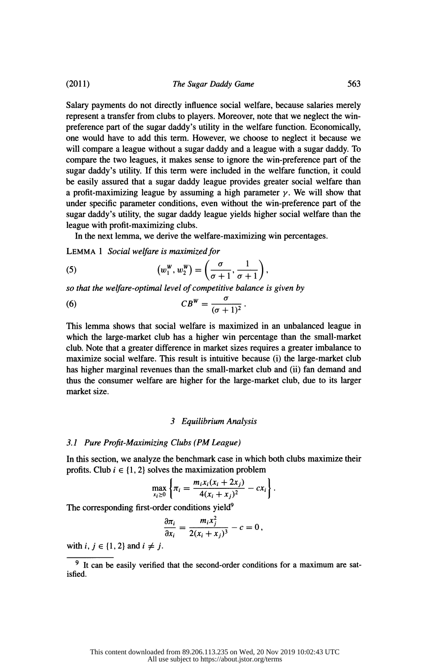Salary payments do not directly influence social welfare, because salaries merely represent a transfer from clubs to players. Moreover, note that we neglect the win preference part of the sugar daddy's utility in the welfare function. Economically, one would have to add this term. However, we choose to neglect it because we will compare a league without a sugar daddy and a league with a sugar daddy. To compare the two leagues, it makes sense to ignore the win-preference part of the sugar daddy's utility. If this term were included in the welfare function, it could be easily assured that a sugar daddy league provides greater social welfare than a profit-maximizing league by assuming a high parameter  $\gamma$ . We will show that under specific parameter conditions, even without the win-preference part of the sugar daddy's utility, the sugar daddy league yields higher social welfare than the league with profit-maximizing clubs.

In the next lemma, we derive the welfare-maximizing win percentages.

Lemma 1 Social welfare is maximized for

(5) 
$$
(w_1^W, w_2^W) = \left(\frac{\sigma}{\sigma+1}, \frac{1}{\sigma+1}\right),
$$

so that the welfare-optimal level of competitive balance is given by

(6) 
$$
CB^{W} = \frac{\sigma}{(\sigma+1)^2}.
$$

 This lemma shows that social welfare is maximized in an unbalanced league in which the large-market club has a higher win percentage than the small-market club. Note that a greater difference in market sizes requires a greater imbalance to maximize social welfare. This result is intuitive because (i) the large-market club has higher marginal revenues than the small-market club and (ii) fan demand and thus the consumer welfare are higher for the large-market club, due to its larger market size.

#### 3 Equilibrium Analysis

#### 3.1 Pure Profit-Maximizing Clubs (PM League)

 In this section, we analyze the benchmark case in which both clubs maximize their profits. Club  $i \in \{1, 2\}$  solves the maximization problem

$$
\max_{x_i \geq 0} \left\{ \pi_i = \frac{m_i x_i (x_i + 2x_j)}{4(x_i + x_j)^2} - c x_i \right\}.
$$

The corresponding first-order conditions yield<sup>9</sup>

$$
\frac{\partial \pi_i}{\partial x_i} = \frac{m_i x_j^2}{2(x_i + x_j)^3} - c = 0,
$$

with  $i, j \in \{1, 2\}$  and  $i \neq j$ .

<sup>&</sup>lt;sup>9</sup> It can be easily verified that the second-order conditions for a maximum are satisfied.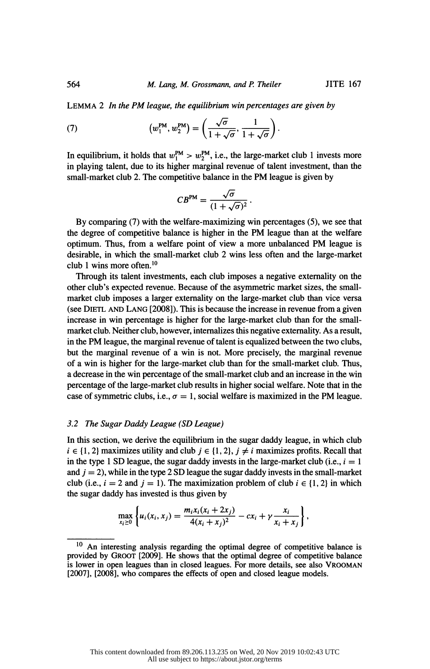LEMMA 2 In the PM league, the equilibrium win percentages are given by

(7) 
$$
(w_1^{\text{PM}}, w_2^{\text{PM}}) = \left(\frac{\sqrt{\sigma}}{1 + \sqrt{\sigma}}, \frac{1}{1 + \sqrt{\sigma}}\right).
$$

In equilibrium, it holds that  $w_1^{PM} > w_2^{PM}$ , i.e., the large-market club 1 invests more in playing talent, due to its higher marginal revenue of talent investment, than the small-market club 2. The competitive balance in the PM league is given by

$$
CB^{\text{PM}} = \frac{\sqrt{\sigma}}{(1 + \sqrt{\sigma})^2}.
$$

 By comparing (7) with the welfare-maximizing win percentages (5), we see that the degree of competitive balance is higher in the PM league than at the welfare optimum. Thus, from a welfare point of view a more unbalanced PM league is desirable, in which the small-market club 2 wins less often and the large-market club 1 wins more often.10

 Through its talent investments, each club imposes a negative externality on the other club's expected revenue. Because of the asymmetric market sizes, the small market club imposes a larger externality on the large-market club than vice versa (see DIETL AND LANG [2008]). This is because the increase in revenue from a given increase in win percentage is higher for the large-market club than for the small market club. Neither club, however, internalizes this negative externality. As a result, in the PM league, the marginal revenue of talent is equalized between the two clubs, but the marginal revenue of a win is not. More precisely, the marginal revenue of a win is higher for the large-market club than for the small-market club. Thus, a decrease in the win percentage of the small-market club and an increase in the win percentage of the large-market club results in higher social welfare. Note that in the case of symmetric clubs, i.e.,  $\sigma = 1$ , social welfare is maximized in the PM league.

#### 3.2 The Sugar Daddy League (SD League)

 In this section, we derive the equilibrium in the sugar daddy league, in which club  $i \in \{1, 2\}$  maximizes utility and club  $j \in \{1, 2\}$ ,  $j \neq i$  maximizes profits. Recall that in the type 1 SD league, the sugar daddy invests in the large-market club (i.e.,  $i = 1$ ) and  $j = 2$ ), while in the type 2 SD league the sugar daddy invests in the small-market club (i.e.,  $i = 2$  and  $j = 1$ ). The maximization problem of club  $i \in \{1, 2\}$  in which the sugar daddy has invested is thus given by

$$
\max_{x_i \geq 0} \left\{ u_i(x_i, x_j) = \frac{m_i x_i(x_i + 2x_j)}{4(x_i + x_j)^2} - cx_i + \gamma \frac{x_i}{x_i + x_j} \right\},\,
$$

<sup>&</sup>lt;sup>10</sup> An interesting analysis regarding the optimal degree of competitive balance is provided by Groot [2009]. He shows that the optimal degree of competitive balance is lower in open leagues than in closed leagues. For more details, see also Vrooman [2007], [2008], who compares the effects of open and closed league models.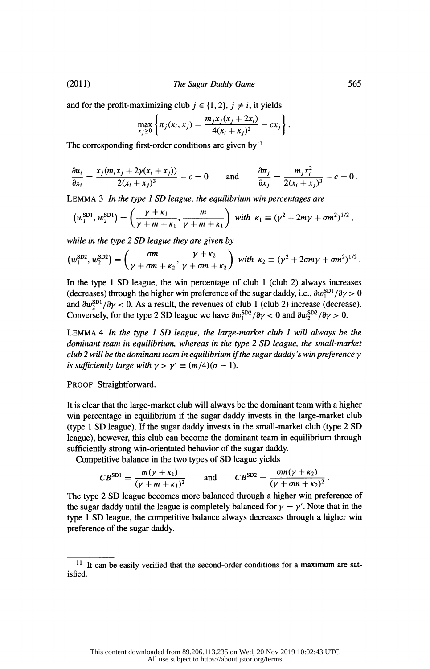(2011) The Sugar Daddy Game 565

and for the profit-maximizing club  $i \in \{1, 2\}$ ,  $i \neq i$ , it yields

$$
\max_{x_j \geq 0} \left\{ \pi_j(x_i, x_j) = \frac{m_j x_j (x_j + 2x_i)}{4(x_i + x_j)^2} - c x_j \right\}.
$$

The corresponding first-order conditions are given by<sup>11</sup>

$$
\frac{\partial u_i}{\partial x_i}=\frac{x_j(m_ix_j+2\gamma(x_i+x_j))}{2(x_i+x_j)^3}-c=0\qquad\text{and}\qquad\frac{\partial \pi_j}{\partial x_j}=\frac{m_jx_i^2}{2(x_i+x_j)^3}-c=0.
$$

LEMMA  $3$  In the type  $1 SD$  league, the equilibrium win percentages are

$$
\left(w_1^{\text{SD1}}, w_2^{\text{SD1}}\right) = \left(\frac{\gamma + \kappa_1}{\gamma + m + \kappa_1}, \frac{m}{\gamma + m + \kappa_1}\right) \text{ with } \kappa_1 \equiv (\gamma^2 + 2m\gamma + \sigma m^2)^{1/2},
$$

while in the type 2 SD league they are given by

$$
\left(w_1^{\text{SD2}}, w_2^{\text{SD2}}\right) = \left(\frac{\sigma m}{\gamma + \sigma m + \kappa_2}, \frac{\gamma + \kappa_2}{\gamma + \sigma m + \kappa_2}\right) \text{ with } \kappa_2 \equiv (\gamma^2 + 2\sigma m \gamma + \sigma m^2)^{1/2}.
$$

 In the type 1 SD league, the win percentage of club 1 (club 2) always increases (decreases) through the higher win preference of the sugar daddy, i.e.,  $\frac{\partial w_1^{\text{SD1}}}{\partial y} > 0$ and  $\frac{\partial w_2^{\text{SD1}}}{\partial y} < 0$ . As a result, the revenues of club 1 (club 2) increase (decrease). Conversely, for the type 2 SD league we have  $\frac{\partial w_1^{\text{SD2}}}{\partial y} < 0$  and  $\frac{\partial w_2^{\text{SD2}}}{\partial y} > 0$ .

LEMMA 4 In the type 1 SD league, the large-market club 1 will always be the dominant team in equilibrium, whereas in the type 2 SD league, the small-market club 2 will be the dominant team in equilibrium if the sugar daddy's win preference  $\gamma$ is sufficiently large with  $y > y' \equiv (m/4)(\sigma - 1)$ .

PROOF Straightforward.

 It is clear that the large-market club will always be the dominant team with a higher win percentage in equilibrium if the sugar daddy invests in the large-market club (type 1 SD league). If the sugar daddy invests in the small-market club (type 2 SD league), however, this club can become the dominant team in equilibrium through sufficiently strong win-orientated behavior of the sugar daddy.

Competitive balance in the two types of SD league yields

$$
CB^{\text{SD1}} = \frac{m(\gamma + \kappa_1)}{(\gamma + m + \kappa_1)^2} \quad \text{and} \quad CB^{\text{SD2}} = \frac{\sigma m(\gamma + \kappa_2)}{(\gamma + \sigma m + \kappa_2)^2}.
$$

 The type 2 SD league becomes more balanced through a higher win preference of the sugar daddy until the league is completely balanced for  $\gamma = \gamma'$ . Note that in the type 1 SD league, the competitive balance always decreases through a higher win preference of the sugar daddy.

 $11$  It can be easily verified that the second-order conditions for a maximum are satisfied.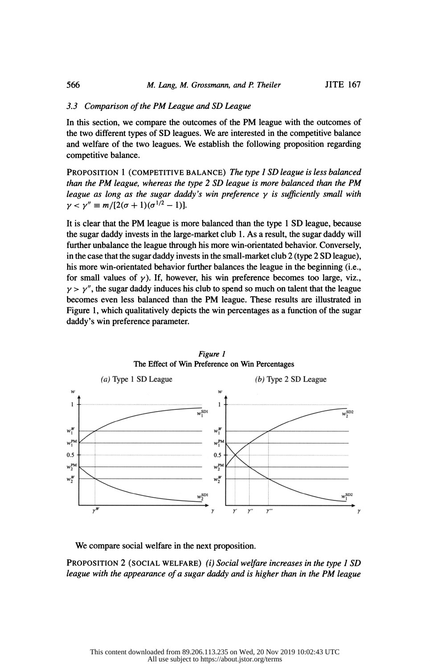#### 3.3 Comparison of the PM League and SD League

 In this section, we compare the outcomes of the PM league with the outcomes of the two different types of SD leagues. We are interested in the competitive balance and welfare of the two leagues. We establish the following proposition regarding competitive balance.

 Proposition 1 (competitive balance) The type 1 SD league is less balanced than the PM league, whereas the type 2 SD league is more balanced than the PM league as long as the sugar daddy's win preference  $\gamma$  is sufficiently small with  $\gamma < \gamma'' \equiv m/[2(\sigma + 1)(\sigma^{1/2} - 1)].$ 

 It is clear that the PM league is more balanced than the type 1 SD league, because the sugar daddy invests in the large-market club 1. As a result, the sugar daddy will further unbalance the league through his more win-orientated behavior. Conversely, in the case that the sugar daddy invests in the small-market club 2 (type 2 SD league), his more win-orientated behavior further balances the league in the beginning (i.e., for small values of  $\gamma$ ). If, however, his win preference becomes too large, viz.,  $y > y''$ , the sugar daddy induces his club to spend so much on talent that the league becomes even less balanced than the PM league. These results are illustrated in Figure 1, which qualitatively depicts the win percentages as a function of the sugar daddy's win preference parameter.





We compare social welfare in the next proposition.

PROPOSITION 2 (SOCIAL WELFARE) (i) Social welfare increases in the type 1 SD league with the appearance of a sugar daddy and is higher than in the PM league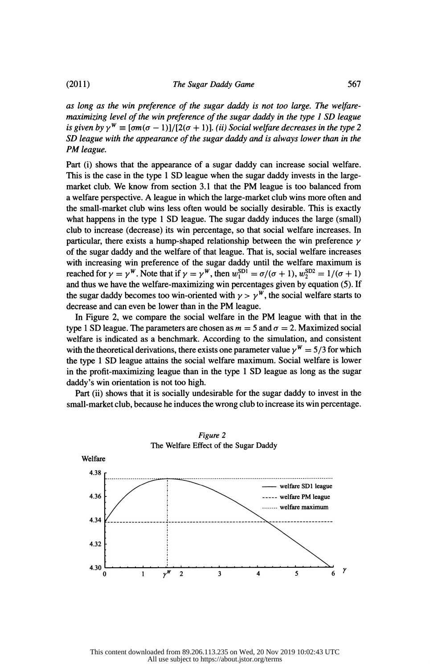as long as the win preference of the sugar daddy is not too large. The welfare maximizing level of the win preference of the sugar daddy in the type 1 SD league is given by  $\gamma^{W} \equiv [\sigma m(\sigma - 1)]/[2(\sigma + 1)]$ . (ii) Social welfare decreases in the type 2 SD league with the appearance of the sugar daddy and is always lower than in the PM league.

 Part (i) shows that the appearance of a sugar daddy can increase social welfare. This is the case in the type 1 SD league when the sugar daddy invests in the large market club. We know from section 3.1 that the PM league is too balanced from a welfare perspective. A league in which the large-market club wins more often and the small-market club wins less often would be socially desirable. This is exactly what happens in the type 1 SD league. The sugar daddy induces the large (small) club to increase (decrease) its win percentage, so that social welfare increases. In particular, there exists a hump-shaped relationship between the win preference  $\nu$  of the sugar daddy and the welfare of that league. That is, social welfare increases with increasing win preference of the sugar daddy until the welfare maximum is reached for  $\gamma = \gamma^{w}$ . Note that if  $\gamma = \gamma^{w}$ , then  $w_1^{\text{SD1}} = \sigma/(\sigma + 1)$ ,  $w_2^{\text{SD2}} = 1/(\sigma + 1)$  and thus we have the welfare-maximizing win percentages given by equation (5). If the sugar daddy becomes too win-oriented with  $y > y^W$ , the social welfare starts to decrease and can even be lower than in the PM league.

 In Figure 2, we compare the social welfare in the PM league with that in the type 1 SD league. The parameters are chosen as  $m = 5$  and  $\sigma = 2$ . Maximized social welfare is indicated as a benchmark. According to the simulation, and consistent with the theoretical derivations, there exists one parameter value  $\gamma^{W} = 5/3$  for which the type 1 SD league attains the social welfare maximum. Social welfare is lower in the profit-maximizing league than in the type 1 SD league as long as the sugar daddy's win orientation is not too high.

Part (ii) shows that it is socially undesirable for the sugar daddy to invest in the small-market club, because he induces the wrong club to increase its win percentage.



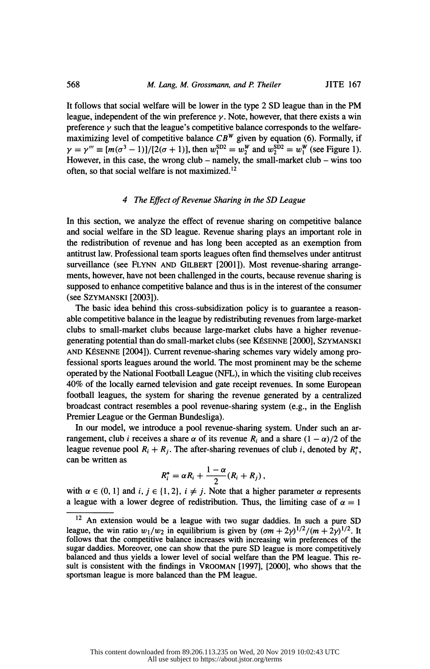It follows that social welfare will be lower in the type 2 SD league than in the PM league, independent of the win preference  $\nu$ . Note, however, that there exists a win preference  $\gamma$  such that the league's competitive balance corresponds to the welfaremaximizing level of competitive balance  $CB^w$  given by equation (6). Formally, if  $\gamma = \gamma''' \equiv [m(\sigma^3 - 1)]/[2(\sigma + 1)]$ , then  $w_1^{3D2} = w_2^m$  and  $w_2^{3D2} = w_1^m$  (see Figure 1). However, in this case, the wrong club – namely, the small-market club – wins too often, so that social welfare is not maximized.12

### 4 The Effect of Revenue Sharing in the SD League

 In this section, we analyze the effect of revenue sharing on competitive balance and social welfare in the SD league. Revenue sharing plays an important role in the redistribution of revenue and has long been accepted as an exemption from antitrust law. Professional team sports leagues often find themselves under antitrust surveillance (see FLYNN AND GILBERT [2001]). Most revenue-sharing arrange ments, however, have not been challenged in the courts, because revenue sharing is supposed to enhance competitive balance and thus is in the interest of the consumer (see Szymanski [2003]).

 The basic idea behind this cross-subsidization policy is to guarantee a reason able competitive balance in the league by redistributing revenues from large-market clubs to small-market clubs because large-market clubs have a higher revenue generating potential than do small-market clubs (see KÉSENNE [2000], Szymanski AND KÉSENNE [2004]). Current revenue-sharing schemes vary widely among pro fessional sports leagues around the world. The most prominent may be the scheme operated by the National Football League (NFL), in which the visiting club receives 40% of the locally earned television and gate receipt revenues. In some European football leagues, the system for sharing the revenue generated by a centralized broadcast contract resembles a pool revenue-sharing system (e.g., in the English Premier League or the German Bundesliga).

 In our model, we introduce a pool revenue-sharing system. Under such an ar rangement, club *i* receives a share  $\alpha$  of its revenue  $R_i$  and a share  $(1 - \alpha)/2$  of the league revenue pool  $R_i + R_j$ . The after-sharing revenues of club i, denoted by  $R_i^*$ , can be written as

$$
R_i^* = \alpha R_i + \frac{1-\alpha}{2}(R_i + R_j),
$$

with  $\alpha \in (0, 1]$  and  $i, j \in \{1, 2\}, i \neq j$ . Note that a higher parameter  $\alpha$  represents a league with a lower degree of redistribution. Thus, the limiting case of  $\alpha = 1$ 

<sup>&</sup>lt;sup>12</sup> An extension would be a league with two sugar daddies. In such a pure SD league, the win ratio  $w_1/w_2$  in equilibrium is given by  $(\sigma m + 2\gamma)^{1/2}/(m + 2\gamma)^{1/2}$ . It follows that the competitive balance increases with increasing win preferences of the sugar daddies. Moreover, one can show that the pure SD league is more competitively balanced and thus yields a lower level of social welfare than the PM league. This re balanced and thus yields a lower level of social welfare than the PM league. This re-<br>sult is consistent with the findings in VROOMAN [1997], [2000], who shows that the<br>sportsman league is more belanced than the PM league. suit is consistent with the findings in VROOMAN [1997], [2000], who shows that the sportsman league is more balanced than the PM league.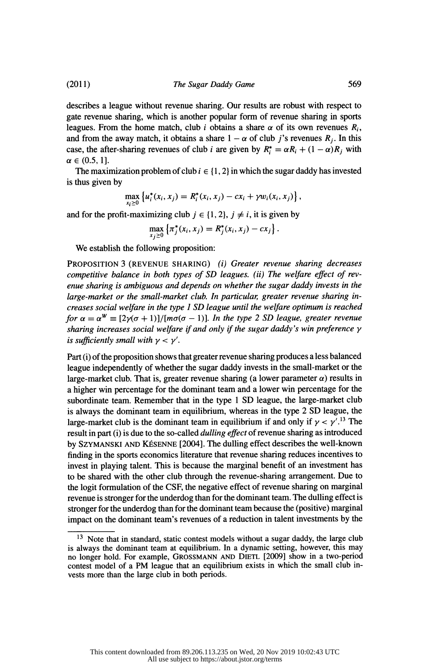describes a league without revenue sharing. Our results are robust with respect to gate revenue sharing, which is another popular form of revenue sharing in sports leagues. From the home match, club i obtains a share  $\alpha$  of its own revenues  $R_i$ , and from the away match, it obtains a share  $1 - \alpha$  of club j's revenues  $R_j$ . In this case, the after-sharing revenues of club *i* are given by  $R_i^* = \alpha R_i + (1 - \alpha)R_i$  with  $\alpha \in (0.5, 1]$ .

The maximization problem of club  $i \in \{1, 2\}$  in which the sugar daddy has invested is thus given by

$$
\max_{x_i \geq 0} \left\{ u_i^*(x_i, x_j) = R_i^*(x_i, x_j) - cx_i + \gamma w_i(x_i, x_j) \right\},\,
$$

and for the profit-maximizing club  $j \in \{1, 2\}$ ,  $j \neq i$ , it is given by

$$
\max_{x_j \geq 0} \left\{ \pi_j^*(x_i, x_j) = R_j^*(x_i, x_j) - cx_j \right\}.
$$

We establish the following proposition:

PROPOSITION 3 (REVENUE SHARING) (i) Greater revenue sharing decreases competitive balance in both types of SD leagues, (ii) The welfare effect of rev enue sharing is ambiguous and depends on whether the sugar daddy invests in the large-market or the small-market club. In particular, greater revenue sharing in creases social welfare in the type 1 SD league until the welfare optimum is reached for  $\alpha = \alpha^W \equiv [2\gamma(\sigma + 1)]/[m\sigma(\sigma - 1)]$ . In the type 2 SD league, greater revenue sharing increases social welfare if and only if the sugar daddy's win preference  $\gamma$ is sufficiently small with  $\gamma < \gamma'$ .

 Part (i) of the proposition shows that greater revenue sharing produces a less balanced league independently of whether the sugar daddy invests in the small-market or the large-market club. That is, greater revenue sharing (a lower parameter  $\alpha$ ) results in a higher win percentage for the dominant team and a lower win percentage for the subordinate team. Remember that in the type 1 SD league, the large-market club is always the dominant team in equilibrium, whereas in the type 2 SD league, the large-market club is the dominant team in equilibrium if and only if  $y < y'$ .<sup>13</sup> The result in part (i) is due to the so-called *dulling effect* of revenue sharing as introduced by Szymanski and KÉSENNE [2004]. The dulling effect describes the well-known finding in the sports economics literature that revenue sharing reduces incentives to invest in playing talent. This is because the marginal benefit of an investment has to be shared with the other club through the revenue-sharing arrangement. Due to the logit formulation of the CSF, the negative effect of revenue sharing on marginal revenue is stronger for the underdog than for the dominant team. The dulling effect is stronger for the underdog than for the dominant team because the (positive) marginal impact on the dominant team's revenues of a reduction in talent investments by the

<sup>&</sup>lt;sup>13</sup> Note that in standard, static contest models without a sugar daddy, the large club is always the dominant team at equilibrium. In a dynamic setting, however, this may no longer hold. For example, GROSSMANN AND DIETL [2009] show in a two-period contest model of a PM league that an equilibrium exists in which the small club in vests more than the large club in both periods.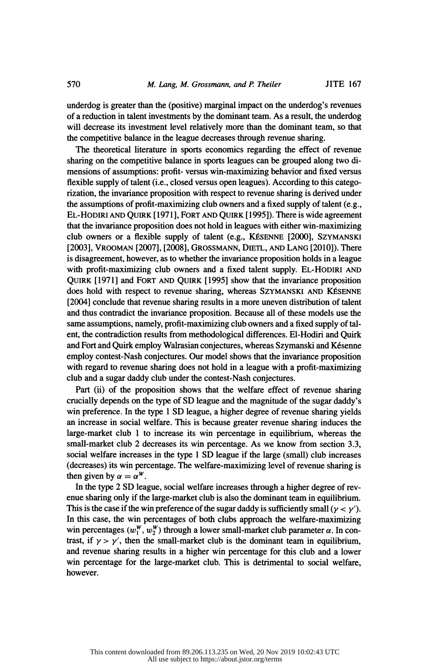underdog is greater than the (positive) marginal impact on the underdog's revenues of a reduction in talent investments by the dominant team. As a result, the underdog will decrease its investment level relatively more than the dominant team, so that the competitive balance in the league decreases through revenue sharing.

 The theoretical literature in sports economics regarding the effect of revenue sharing on the competitive balance in sports leagues can be grouped along two di mensions of assumptions: profit- versus win-maximizing behavior and fixed versus flexible supply of talent (i.e., closed versus open leagues). According to this catego rization, the invariance proposition with respect to revenue sharing is derived under the assumptions of profit-maximizing club owners and a fixed supply of talent (e.g., El-Hodiri and Quirk [1971], Fort and Quirk [1995]). There is wide agreement that the invariance proposition does not hold in leagues with either win-maximizing club owners or a flexible supply of talent (e.g., KÉSENNE [2000], Szymanski [2003], Vrooman [2007], [2008], Grossmann, Dietl, and Lang [2010]). There is disagreement, however, as to whether the invariance proposition holds in a league with profit-maximizing club owners and a fixed talent supply. EL-HODIRI AND Quirk [1971] and Fort and Quirk [1995] show that the invariance proposition does hold with respect to revenue sharing, whereas Szymanski and Késenne [2004] conclude that revenue sharing results in a more uneven distribution of talent and thus contradict the invariance proposition. Because all of these models use the same assumptions, namely, profit-maximizing club owners and a fixed supply of tal ent, the contradiction results from methodological differences. El-Hodiri and Quirk and Fort and Quirk employ Walrasian conjectures, whereas Szymanski and Késenne employ contest-Nash conjectures. Our model shows that the invariance proposition with regard to revenue sharing does not hold in a league with a profit-maximizing club and a sugar daddy club under the contest-Nash conjectures.

Part (ii) of the proposition shows that the welfare effect of revenue sharing crucially depends on the type of SD league and the magnitude of the sugar daddy's win preference. In the type 1 SD league, a higher degree of revenue sharing yields an increase in social welfare. This is because greater revenue sharing induces the large-market club 1 to increase its win percentage in equilibrium, whereas the small-market club 2 decreases its win percentage. As we know from section 3.3, social welfare increases in the type 1 SD league if the large (small) club increases (decreases) its win percentage. The welfare-maximizing level of revenue sharing is then given by  $\alpha = \alpha^W$ .

 In the type 2 SD league, social welfare increases through a higher degree of rev enue sharing only if the large-market club is also the dominant team in equilibrium. This is the case if the win preference of the sugar daddy is sufficiently small ( $\nu < \nu'$ ). In this case, the win percentages of both clubs approach the welfare-maximizing win percentages ( $w_1^W$ ,  $w_2^W$ ) through a lower small-market club parameter  $\alpha$ . In contrast, if  $\gamma > \gamma'$ , then the small-market club is the dominant team in equilibrium, and revenue sharing results in a higher win percentage for this club and a lower win percentage for the large-market club. This is detrimental to social welfare, however.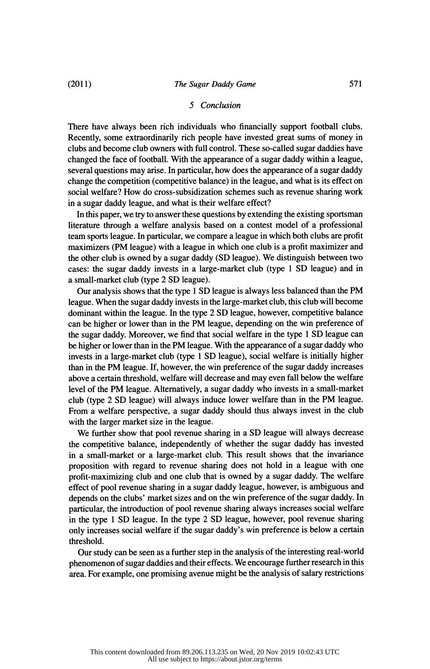### 5 Conclusion

 There have always been rich individuals who financially support football clubs. Recently, some extraordinarily rich people have invested great sums of money in clubs and become club owners with full control. These so-called sugar daddies have changed the face of football. With the appearance of a sugar daddy within a league, several questions may arise. In particular, how does the appearance of a sugar daddy change the competition (competitive balance) in the league, and what is its effect on social welfare? How do cross-subsidization schemes such as revenue sharing work in a sugar daddy league, and what is their welfare effect?

 In this paper, we try to answer these questions by extending the existing sportsman literature through a welfare analysis based on a contest model of a professional team sports league. In particular, we compare a league in which both clubs are profit maximizers (PM league) with a league in which one club is a profit maximizer and the other club is owned by a sugar daddy (SD league). We distinguish between two cases: the sugar daddy invests in a large-market club (type 1 SD league) and in a small-market club (type 2 SD league).

 Our analysis shows that the type 1 SD league is always less balanced than the PM league. When the sugar daddy invests in the large-market club, this club will become dominant within the league. In the type 2 SD league, however, competitive balance can be higher or lower than in the PM league, depending on the win preference of the sugar daddy. Moreover, we find that social welfare in the type 1 SD league can be higher or lower than in the PM league. With the appearance of a sugar daddy who invests in a large-market club (type 1 SD league), social welfare is initially higher than in the PM league. If, however, the win preference of the sugar daddy increases above a certain threshold, welfare will decrease and may even fall below the welfare level of the PM league. Alternatively, a sugar daddy who invests in a small-market club (type 2 SD league) will always induce lower welfare than in the PM league. From a welfare perspective, a sugar daddy should thus always invest in the club with the larger market size in the league.

 We further show that pool revenue sharing in a SD league will always decrease the competitive balance, independently of whether the sugar daddy has invested in a small-market or a large-market club. This result shows that the invariance proposition with regard to revenue sharing does not hold in a league with one profit-maximizing club and one club that is owned by a sugar daddy. The welfare effect of pool revenue sharing in a sugar daddy league, however, is ambiguous and depends on the clubs' market sizes and on the win preference of the sugar daddy. In particular, the introduction of pool revenue sharing always increases social welfare in the type 1 SD league. In the type 2 SD league, however, pool revenue sharing only increases social welfare if the sugar daddy's win preference is below a certain threshold.

 Our study can be seen as a further step in the analysis of the interesting real- world phenomenon of sugar daddies and their effects. We encourage further research in this area. For example, one promising avenue might be the analysis of salary restrictions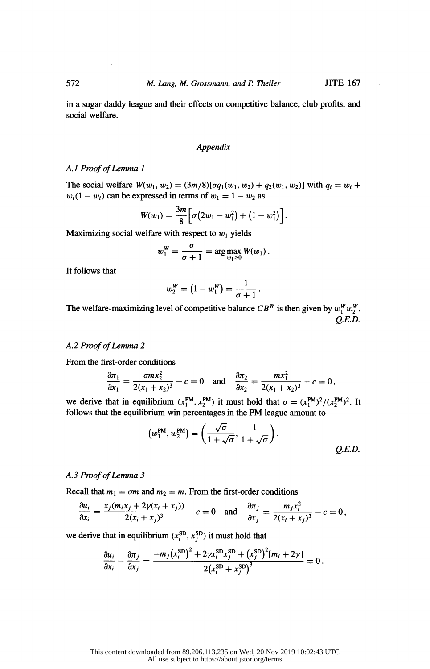in a sugar daddy league and their effects on competitive balance, club profits, and social welfare.

#### Appendix

# A.l Proof of Lemma 1

The social welfare  $W(w_1, w_2) = (3m/8)[\sigma q_1(w_1, w_2) + q_2(w_1, w_2)]$  with  $q_i = w_i +$  $w_i(1 - w_i)$  can be expressed in terms of  $w_1 = 1 - w_2$  as

$$
W(w_1) = \frac{3m}{8} \Big[ \sigma \big(2w_1 - w_1^2\big) + \big(1 - w_1^2\big) \Big].
$$

Maximizing social welfare with respect to  $w_1$  yields

$$
w_1^W = \frac{\sigma}{\sigma+1} = \arg\max_{w_1\geq 0} W(w_1).
$$

It follows that

$$
w_2^W = (1 - w_1^W) = \frac{1}{\sigma + 1} \, .
$$

The welfare-maximizing level of competitive balance  $CB^W$  is then given by  $w_1^W w_2^W$ . Q.E.D.

# A.2 Proof of Lemma 2

From the first-order conditions

$$
\frac{\partial \pi_1}{\partial x_1} = \frac{\sigma m x_2^2}{2(x_1 + x_2)^3} - c = 0 \quad \text{and} \quad \frac{\partial \pi_2}{\partial x_2} = \frac{m x_1^2}{2(x_1 + x_2)^3} - c = 0,
$$

we derive that in equilibrium  $(x_1^{\text{PM}}, x_2^{\text{PM}})$  it must hold that  $\sigma = (x_1^{\text{PM}})^2/(x_2^{\text{PM}})^2$ . It follows that the equilibrium win percentages in the PM league amount to

$$
(w_1^{\text{PM}}, w_2^{\text{PM}}) = \left(\frac{\sqrt{\sigma}}{1 + \sqrt{\sigma}}, \frac{1}{1 + \sqrt{\sigma}}\right).
$$
 Q.E.D.

# A.3 Proof of Lemma 3

Recall that  $m_1 = \sigma m$  and  $m_2 = m$ . From the first-order conditions

$$
\frac{\partial u_i}{\partial x_i} = \frac{x_j(m_ix_j + 2\gamma(x_i + x_j))}{2(x_i + x_j)^3} - c = 0 \text{ and } \frac{\partial \pi_j}{\partial x_j} = \frac{m_jx_i^2}{2(x_i + x_j)^3} - c = 0,
$$

we derive that in equilibrium  $(x_i^{\text{SD}}, x_j^{\text{SD}})$  it must hold that

$$
\frac{\partial u_i}{\partial x_i} - \frac{\partial \pi_j}{\partial x_j} = \frac{-m_j (x_i^{\rm SD})^2 + 2\gamma x_i^{\rm SD} x_j^{\rm SD} + (x_j^{\rm SD})^2 [m_i + 2\gamma]}{2(x_i^{\rm SD} + x_j^{\rm SD})^3} = 0.
$$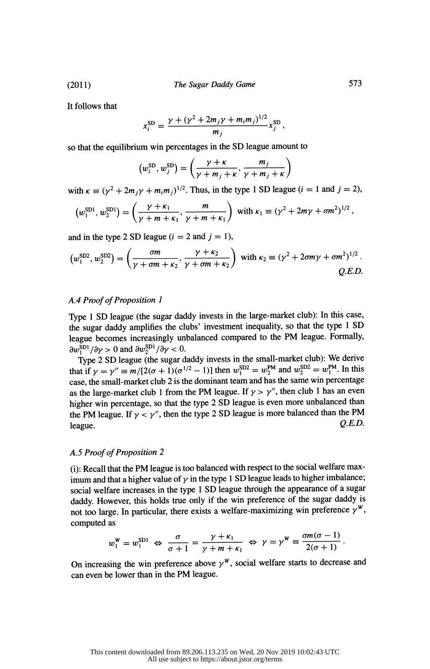(2011) The Sugar Daddy Game 573

It follows that

$$
x_i^{\text{SD}} = \frac{\gamma + (\gamma^2 + 2m_j \gamma + m_i m_j)^{1/2}}{m_j} x_j^{\text{SD}},
$$

 $\binom{m_j}{m_j}$ <br>so that the equilibrium win percentages in the SD league amount to

$$
(w_i^{\text{SD}}, w_j^{\text{SD}}) = \left(\frac{\gamma + \kappa}{\gamma + m_j + \kappa}, \frac{m_j}{\gamma + m_j + \kappa}\right)
$$

with  $\kappa \equiv (\nu^2 + 2m_i \nu + m_i m_i)^{1/2}$ . Thus, in the type 1 SD league (i = 1 and j = 2),

$$
(w_1^{\text{SD1}}, w_2^{\text{SD1}}) = \left(\frac{\gamma + \kappa_1}{\gamma + m + \kappa_1}, \frac{m}{\gamma + m + \kappa_1}\right) \text{ with } \kappa_1 \equiv (\gamma^2 + 2m\gamma + \sigma m^2)^{1/2},
$$

and in the type 2 SD league ( $i = 2$  and  $j = 1$ ),

$$
\left(w_1^{\text{SD2}}, w_2^{\text{SD2}}\right) = \left(\frac{\sigma m}{\gamma + \sigma m + \kappa_2}, \frac{\gamma + \kappa_2}{\gamma + \sigma m + \kappa_2}\right) \text{ with } \kappa_2 \equiv (\gamma^2 + 2\sigma m \gamma + \sigma m^2)^{1/2}. \quad Q.E.D. \quad
$$

#### A A Proof of Proposition 1

 Type 1 SD league (the sugar daddy invests in the large-market club): In this case, the sugar daddy amplifies the clubs' investment inequality, so that the type 1 SD league becomes increasingly unbalanced compared to the PM league. Formally,  $\frac{\partial w_1^{\text{SD1}}}{\partial y} > 0$  and  $\frac{\partial w_2^{\text{SD1}}}{\partial y} < 0$ .

 Type 2 SD league (the sugar daddy invests in the small-market club): We derive that if  $\gamma = \gamma'' \equiv m/[2(\sigma + 1)(\sigma^{1/2} - 1)]$  then  $w_1^{\text{SD2}} = w_2^{\text{PM}}$  and  $w_2^{\text{SD2}} = w_1^{\text{PM}}$ . In this case, the small-market club 2 is the dominant team and has the same win percentage as the large-market club 1 from the PM league. If  $\gamma > \gamma''$ , then club 1 has an even higher win percentage, so that the type 2 SD league is even more unbalanced than the PM league. If  $\gamma < \gamma$ ", then the type 2 SD league is more balanced than the PM higher win percentage, so that the type 2 SD league is even more unbalanced than<br>the PM league. If  $\gamma < \gamma''$ , then the type 2 SD league is more balanced than the PM<br>league.  $Q.E.D.$ 

# A. 5 Proof of Proposition 2

A.5 *Proof of Proposition 2*<br>(i): Recall that the PM league is too balanced with respect to the social welfare max-<br>imum and that a higher value of  $\alpha$  in the type 1 SD league leads to higher imbalance: (i): Recall that the PM league is too balanced with respect to the social welfare max-<br>imum and that a higher value of  $\gamma$  in the type 1 SD league leads to higher imbalance;<br>social welfare increases in the type 1 SD leag imum and that a higher value of  $\gamma$  in the type 1 SD league leads to higher imbalance;<br>social welfare increases in the type 1 SD league through the appearance of a sugar<br>daddy. However, this holds true only if the win pr social welfare increases in the type 1 SD league through the appearance of a sugar daddy. However, this holds true only if the win preference of the sugar daddy is not too large. In particular, there exists a welfare-maxi daddy. However, this holds true only if the win preference of the sugar daddy is not too large. In particular, there exists a welfare-maximizing win preference  $\gamma^w$ , computed as computed as

$$
w_1^W = w_1^{\text{SD1}} \Leftrightarrow \frac{\sigma}{\sigma+1} = \frac{\gamma + \kappa_1}{\gamma + m + \kappa_1} \Leftrightarrow \gamma = \gamma^W \equiv \frac{\sigma m (\sigma - 1)}{2(\sigma + 1)}.
$$

On increasing the win preference above  $\gamma^{w}$ , social welfare starts to decrease and can even be lower than in the PM league.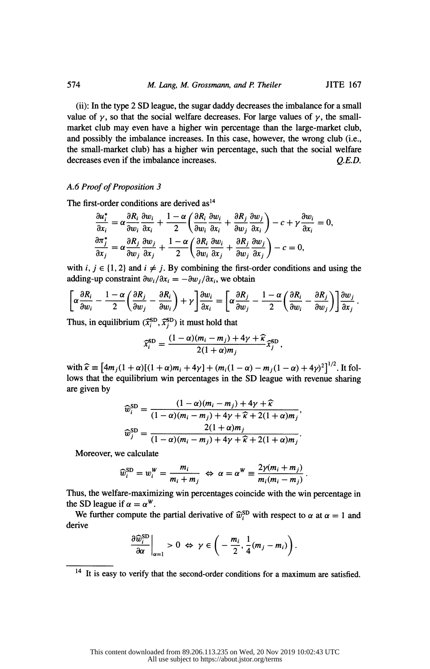(ii): In the type 2 SD league, the sugar daddy decreases the imbalance for a small value of  $\gamma$ , so that the social welfare decreases. For large values of  $\gamma$ , the small market club may even have a higher win percentage than the large-market club, and possibly the imbalance increases. In this case, however, the wrong club (i.e., the small-market club) has a higher win percentage, such that the social welfare decreases even if the imbalance increases.  $O.E.D.$ decreases even if the imbalance increases.

# A.6 Proof of Proposition 3

The first-order conditions are derived  $as<sup>14</sup>$ 

$$
\frac{\partial u_i^*}{\partial x_i} = \alpha \frac{\partial R_i}{\partial w_i} \frac{\partial w_i}{\partial x_i} + \frac{1 - \alpha}{2} \left( \frac{\partial R_i}{\partial w_i} \frac{\partial w_i}{\partial x_i} + \frac{\partial R_j}{\partial w_j} \frac{\partial w_j}{\partial x_i} \right) - c + \gamma \frac{\partial w_i}{\partial x_i} = 0,
$$
  

$$
\frac{\partial \pi_j^*}{\partial x_j} = \alpha \frac{\partial R_j}{\partial w_j} \frac{\partial w_j}{\partial x_j} + \frac{1 - \alpha}{2} \left( \frac{\partial R_i}{\partial w_i} \frac{\partial w_i}{\partial x_j} + \frac{\partial R_j}{\partial w_j} \frac{\partial w_j}{\partial x_j} \right) - c = 0,
$$

with  $i, j \in \{1, 2\}$  and  $i \neq j$ . By combining the first-order conditions and using the adding-up constraint  $\frac{\partial w_i}{\partial x_i} = -\frac{\partial w_i}{\partial x_i}$ , we obtain

$$
\left[\alpha \frac{\partial R_i}{\partial w_i} - \frac{1-\alpha}{2} \left( \frac{\partial R_j}{\partial w_j} - \frac{\partial R_i}{\partial w_i} \right) + \gamma \right] \frac{\partial w_i}{\partial x_i} = \left[\alpha \frac{\partial R_j}{\partial w_j} - \frac{1-\alpha}{2} \left( \frac{\partial R_i}{\partial w_i} - \frac{\partial R_j}{\partial w_j} \right) \right] \frac{\partial w_j}{\partial x_j}.
$$

Thus, in equilibrium  $(\widehat{x}_i^{\text{SD}}, \widehat{x}_i^{\text{SD}})$  it must hold that

$$
\widehat{x}_i^{\text{SD}} = \frac{(1-\alpha)(m_i - m_j) + 4\gamma + \widehat{\kappa}}{2(1+\alpha)m_j} \widehat{x}_j^{\text{SD}},
$$

with  $\widehat{\kappa} = [4m_j(1+\alpha)[(1+\alpha)m_i + 4\gamma] + (m_i(1-\alpha) - m_j(1-\alpha) + 4\gamma)^2]^{1/2}$ . It fol lows that the equilibrium win percentages in the SD league with revenue sharing are given by

$$
\widehat{w}_i^{\text{SD}} = \frac{(1-\alpha)(m_i - m_j) + 4\gamma + \widehat{\kappa}}{(1-\alpha)(m_i - m_j) + 4\gamma + \widehat{\kappa} + 2(1+\alpha)m_j},
$$

$$
\widehat{w}_j^{\text{SD}} = \frac{2(1+\alpha)m_j}{(1-\alpha)(m_i - m_j) + 4\gamma + \widehat{\kappa} + 2(1+\alpha)m_j}.
$$
Moreover, we calculate

$$
(1 - \alpha)(m_i - m_j) + 4\gamma + \kappa + 2(1 + \alpha)m_j
$$
  
we calculate  

$$
\widehat{w}_i^{\text{SD}} = w_i^W = \frac{m_i}{m_i + m_j} \Leftrightarrow \alpha = \alpha^W \equiv \frac{2\gamma(m_i + m_j)}{m_i(m_i - m_j)}.
$$

 Thus, the welfare-maximizing win percentages coincide with the win percentage in the SD league if  $\alpha = \alpha^W$ .

We further compute the partial derivative of  $\hat{w}_i^{\text{SD}}$  with respect to  $\alpha$  at  $\alpha = 1$  and derive

$$
\left.\frac{\partial \widehat{w}_i^{\text{SD}}}{\partial \alpha}\right|_{\alpha=1} > 0 \ \Leftrightarrow \ \gamma \in \left(-\frac{m_i}{2}, \frac{1}{4}(m_j - m_i)\right).
$$

<sup>14</sup> It is easy to verify that the second-order conditions for a maximum are satisfied.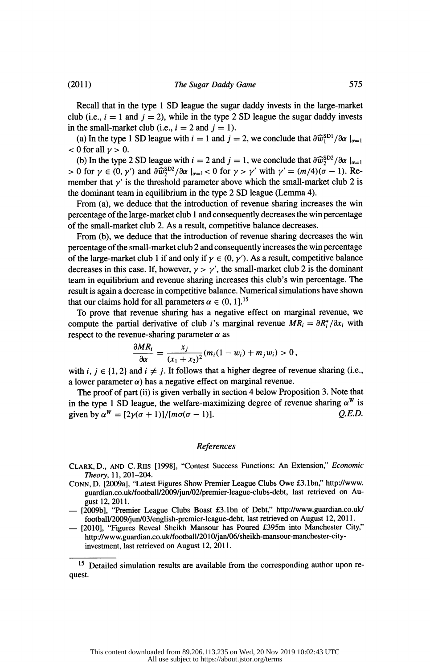Recall that in the type 1 SD league the sugar daddy invests in the large-market club (i.e.,  $i = 1$  and  $j = 2$ ), while in the type 2 SD league the sugar daddy invests in the small-market club (i.e.,  $i = 2$  and  $j = 1$ ).

(a) In the type 1 SD league with  $i = 1$  and  $j = 2$ , we conclude that  $\frac{\partial \hat{\mathbf{w}}^{\text{SD1}}_1}{\partial \alpha}$   $|_{\alpha=1}$ <br>< 0 for all  $\nu > 0$ .  $< 0$  for all  $\gamma > 0$ .

(b) In the type 2 SD league with  $i = 2$  and  $j = 1$ , we conclude that  $\frac{\partial \widehat{w}_2^{\text{SD2}}}{\partial \alpha}|_{\alpha=1}$  $> 0$  for  $\gamma \in (0, \gamma')$  and  $\frac{\partial \widehat{\mathbf{w}}_{2}^{\text{SD2}}}{\partial \alpha}\big|_{\alpha=1} < 0$  for  $\gamma > \gamma'$  with  $\gamma' = (m/4)(\sigma - 1)$ . Remember that  $\gamma'$  is the threshold parameter above which the small-market club 2 is the dominant team in equilibrium in the type 2 SD league (Lemma 4).

 From (a), we deduce that the introduction of revenue sharing increases the win percentage of the large-market club 1 and consequently decreases the win percentage of the small-market club 2. As a result, competitive balance decreases.

 From (b), we deduce that the introduction of revenue sharing decreases the win percentage of the small-market club 2 and consequently increases the win percentage of the large-market club 1 if and only if  $\gamma \in (0, \gamma')$ . As a result, competitive balance decreases in this case. If, however,  $\gamma > \gamma'$ , the small-market club 2 is the dominant team in equilibrium and revenue sharing increases this club's win percentage. The result is again a decrease in competitive balance. Numerical simulations have shown that our claims hold for all parameters  $\alpha \in (0, 1]$ .<sup>15</sup>

 To prove that revenue sharing has a negative effect on marginal revenue, we compute the partial derivative of club *i*'s marginal revenue  $MR_i = \partial R_i^* / \partial x_i$  with respect to the revenue-sharing parameter  $\alpha$  as

$$
\frac{\partial MR_i}{\partial \alpha}=\frac{x_j}{(x_1+x_2)^2}(m_i(1-w_i)+m_jw_i)>0\,,
$$

with i,  $j \in \{1, 2\}$  and  $i \neq j$ . It follows that a higher degree of revenue sharing (i.e., a lower parameter  $\alpha$ ) has a negative effect on marginal revenue.

 The proof of part (ii) is given verbally in section 4 below Proposition 3. Note that in the type 1 SD league, the welfare-maximizing degree of revenue sharing  $\alpha^W$  is given by  $\alpha^W = [2\gamma(\sigma + 1)]/[m\sigma(\sigma - 1)].$  *O.E.D.* given by  $\alpha^W = \frac{2\gamma(\sigma + 1)}{|\sigma(\sigma - 1)|}$ .

#### References

 Clark, D., AND C. Riis [1998], "Contest Success Functions: An Extension," Economic Theory, 11, 201-204.

- CONN, D. [2009a], "Latest Figures Show Premier League Clubs Owe £3.1bn," http://www. guardian.co.uk/football/2009/jun/02/premier-league-clubs-debt, last retrieved on Au gust 12, 2011.
- [2009b], "Premier League Clubs Boast £3.1bn of Debt," http://www.guardian.co.uk/ football/2009/jun/03/english-premier-league-debt, last retrieved on August 12, 2011.
- [2010], "Figures Reveal Sheikh Mansour has Poured £395m into Manchester City," http://www.guardian.co.uk/football/2010/jan/06/sheikh-mansour-manchester-city investment, last retrieved on August 12, 201 1.

<sup>&</sup>lt;sup>15</sup> Detailed simulation results are available from the corresponding author upon request.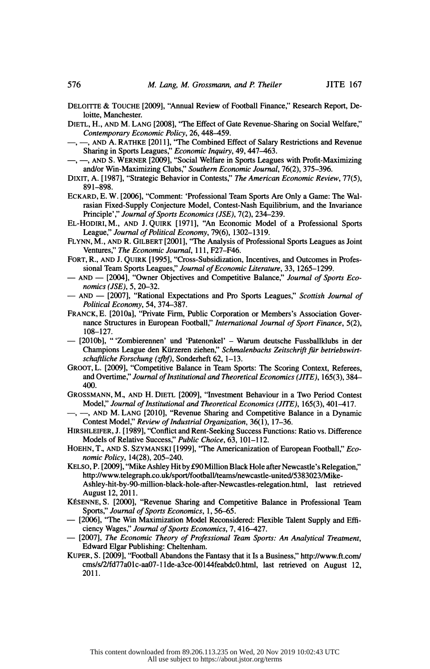- DELOITTE & TOUCHE [2009], "Annual Review of Football Finance," Research Report, Deloitte, Manchester.
- DIETL, H., AND M. LANG [2008], "The Effect of Gate Revenue-Sharing on Social Welfare," Contemporary Economic Policy, 26, 448-459.
- -, -, AND A. RATHKE [2011], "The Combined Effect of Salary Restrictions and Revenue Sharing in Sports Leagues," Economic Inquiry, 49, 447-463.
- $-$ ,  $-$ , AND S. WERNER [2009], "Social Welfare in Sports Leagues with Profit-Maximizing and/or Win-Maximizing Clubs," Southern Economic Journal, 76(2), 375-396.
- DIXIT, A. [1987], "Strategic Behavior in Contests," The American Economic Review, 77(5), 891-898.
- Eckard, E. W. [2006], "Comment: 'Professional Team Sports Are Only a Game: The Wal rasian Fixed-Supply Conjecture Model, Contest-Nash Equilibrium, and the Invariance Principle'," Journal of Sports Economics (JSE), 7(2), 234-239.
- El-Hodiri,M., and J. Quirk [1971], "An Economic Model of a Professional Sports League," Journal of Political Economy, 79(6), 1302-1319.
- Flynn, M., and R. Gilbert [2001], "The Analysis of Professional Sports Leagues as Joint Ventures," The Economic Journal, 111, F27-F46.
- Fort, R., and J. quirk [1995], "Cross-Subsidization, Incentives, and Outcomes in Profes sional Team Sports Leagues," *Journal of Economic Literature*, 33, 1265–1299.
- AND [2004], "Owner Objectives and Competitive Balance," Journal of Sports Economics (JSE), 5, 20-32.
- AND [2007], "Rational Expectations and Pro Sports Leagues," Scottish Journal of Political Economy, 54, 374-387.
- FRANCK, E. [2010a], "Private Firm, Public Corporation or Members's Association Governance Structures in European Football," International Journal of Sport Finance, 5(2), 108-127.
- [2010b], "'Zombierennen' und 'Patenonkel' Warum deutsche Fussballklubs in der Champions League den Kürzeren ziehen," Schmalenbachs Zeitschrift für betriebswirt schaftliche Forschung (zfbf), Sonderheft 62, 1-13.
- Groot, L. [2009], "Competitive Balance in Team Sports: The Scoring Context, Referees, and Overtime," Journal of Institutional and Theoretical Economics (JITE), 165(3), 384- 400.
- Grossmann, M., and H. Dietl [2009], "Investment Behaviour in a Two Period Contest Model," Journal of Institutional and Theoretical Economics (JITE), 165(3), 401-417.
- $-$ ,  $-$ , AND M. LANG [2010], "Revenue Sharing and Competitive Balance in a Dynamic Contest Model," Review of Industrial Organization, 36(1), 17-36.
- HlRSHLElFER, J. [1989], "Conflict and Rent-Seeking Success Functions: Ratio vs. Difference Models of Relative Success," Public Choice, 63, 101-112.
- HOEHN, T., AND S. SZYMANSKI [1999], "The Americanization of European Football," Economic Policy, 14(28), 205-240.
- Kelso, P. [2009], "Mike Ashley Hit by £90 Million Black Hole after Newcastle's Relegation," http://www.telegraph.co.uk/sport/football/teams/newcastle-united/5383023/Mike- Ashley-hit-by-90-million-black-hole-after-Newcastles-relegation.html, last retrieved August 12, 2011.
- KÉSENNE, S. [2000], "Revenue Sharing and Competitive Balance in Professional Team Sports," Journal of Sports Economics, 1, 56–65.
- [2006], "The Win Maximization Model Reconsidered: Flexible Talent Supply and Efficiency Wages," Journal of Sports Economics , 7, 416-427.
- [2007], The Economic Theory of Professional Team Sports: An Analytical Treatment, Edward Elgar Publishing: Cheltenham.
- Kuper, S. [2009], "Football Abandons the Fantasy that it Is a Business," http://www.ft.com/ cms/s/2/fd77a01c-aa07- Ilde-a3ce-00144feabdc0.html, last retrieved on August 12, 2011.